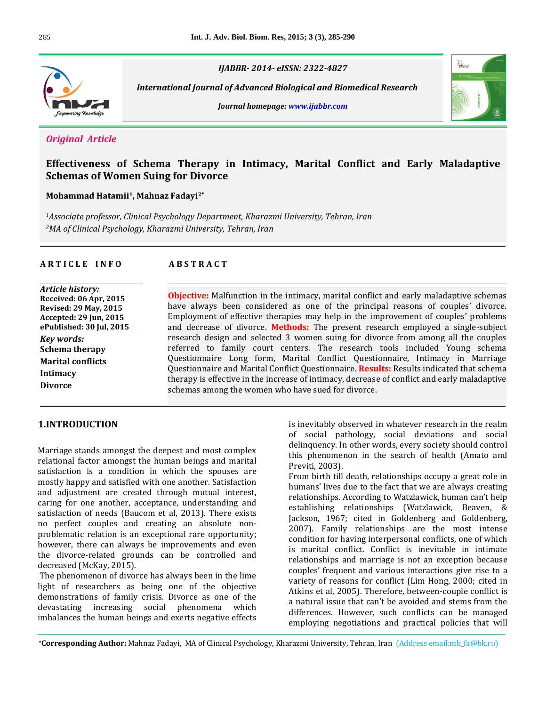

*IJABBR- 2014- eISSN: 2322-4827*

 *International Journal of Advanced Biological and Biomedical Research*





# *Original Article*

# **Effectiveness of Schema Therapy in Intimacy, Marital Conflict and Early Maladaptive Schemas of Women Suing for Divorce**

## **Mohammad Hatamii <sup>1</sup>, Mahnaz Fadayi2\***

*<sup>1</sup>Associate professor, Clinical Psychology Department, Kharazmi University, Tehran, Iran <sup>2</sup>MA of Clinical Psychology, Kharazmi University, Tehran, Iran*

## **A R T I C L E I N F O A B S T R A C T**

| Article history:              |
|-------------------------------|
| Received: 06 Apr, 2015        |
| <b>Revised: 29 May, 2015</b>  |
| <b>Accepted: 29 Jun, 2015</b> |
| ePublished: 30 Jul, 2015      |
| Key words:                    |
| <b>Schema therapy</b>         |
| <b>Marital conflicts</b>      |
| <b>Intimacy</b>               |
| <b>Divorce</b>                |
|                               |

**Objective:** Malfunction in the intimacy, marital conflict and early maladaptive schemas have always been considered as one of the principal reasons of couples' divorce. Employment of effective therapies may help in the improvement of couples' problems and decrease of divorce. **Methods:** The present research employed a single-subject research design and selected 3 women suing for divorce from among all the couples referred to family court centers. The research tools included Young schema Questionnaire Long form, Marital Conflict Questionnaire, Intimacy in Marriage Questionnaire and Marital Conflict Questionnaire. **Results:** Results indicated that schema therapy is effective in the increase of intimacy, decrease of conflict and early maladaptive schemas among the women who have sued for divorce.

# **1.INTRODUCTION**

Marriage stands amongst the deepest and most complex relational factor amongst the human beings and marital satisfaction is a condition in which the spouses are mostly happy and satisfied with one another. Satisfaction and adjustment are created through mutual interest, caring for one another, acceptance, understanding and satisfaction of needs (Baucom et al, 2013). There exists no perfect couples and creating an absolute nonproblematic relation is an exceptional rare opportunity; however, there can always be improvements and even the divorce-related grounds can be controlled and decreased (McKay, 2015).

The phenomenon of divorce has always been in the lime light of researchers as being one of the objective demonstrations of family crisis. Divorce as one of the devastating increasing social phenomena which imbalances the human beings and exerts negative effects

is inevitably observed in whatever research in the realm of social pathology, social deviations and social delinquency. In other words, every society should control this phenomenon in the search of health (Amato and Previti, 2003).

From birth till death, relationships occupy a great role in humans' lives due to the fact that we are always creating relationships. According to Watzlawick, human can't help establishing relationships (Watzlawick, Beaven, & Jackson, 1967; cited in Goldenberg and Goldenberg, 2007). Family relationships are the most intense condition for having interpersonal conflicts, one of which is marital conflict. Conflict is inevitable in intimate relationships and marriage is not an exception because couples' frequent and various interactions give rise to a variety of reasons for conflict (Lim Hong, 2000; cited in Atkins et al, 2005). Therefore, between-couple conflict is a natural issue that can't be avoided and stems from the differences. However, such conflicts can be managed employing negotiations and practical policies that will

**\*Corresponding Author:** Mahnaz Fadayi, MA of Clinical Psychology, Kharazmi University, Tehran, Iran (Address email:mh\_fa@bk.ru)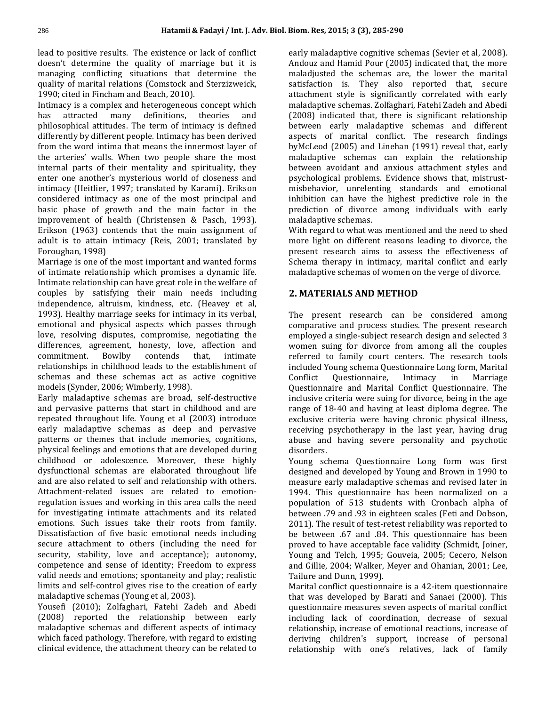lead to positive results. The existence or lack of conflict doesn't determine the quality of marriage but it is managing conflicting situations that determine the quality of marital relations (Comstock and Sterzizweick, 1990; cited in Fincham and Beach, 2010).

Intimacy is a complex and heterogeneous concept which has attracted many definitions, theories and philosophical attitudes. The term of intimacy is defined differently by different people. Intimacy has been derived from the word intima that means the innermost layer of the arteries' walls. When two people share the most internal parts of their mentality and spirituality, they enter one another's mysterious world of closeness and intimacy (Heitlier, 1997; translated by Karami). Erikson considered intimacy as one of the most principal and basic phase of growth and the main factor in the improvement of health (Christensen & Pasch, 1993). Erikson (1963) contends that the main assignment of adult is to attain intimacy (Reis, 2001; translated by Foroughan, 1998)

Marriage is one of the most important and wanted forms of intimate relationship which promises a dynamic life. Intimate relationship can have great role in the welfare of couples by satisfying their main needs including independence, altruism, kindness, etc. (Heavey et al, 1993). Healthy marriage seeks for intimacy in its verbal, emotional and physical aspects which passes through love, resolving disputes, compromise, negotiating the differences, agreement, honesty, love, affection and commitment. Bowlby contends that, intimate relationships in childhood leads to the establishment of schemas and these schemas act as active cognitive models (Synder, 2006; Wimberly, 1998).

Early maladaptive schemas are broad, self-destructive and pervasive patterns that start in childhood and are repeated throughout life. Young et al (2003) introduce early maladaptive schemas as deep and pervasive patterns or themes that include memories, cognitions, physical feelings and emotions that are developed during childhood or adolescence. Moreover, these highly dysfunctional schemas are elaborated throughout life and are also related to self and relationship with others. Attachment-related issues are related to emotionregulation issues and working in this area calls the need for investigating intimate attachments and its related emotions. Such issues take their roots from family. Dissatisfaction of five basic emotional needs including secure attachment to others (including the need for security, stability, love and acceptance); autonomy, competence and sense of identity; Freedom to express valid needs and emotions; spontaneity and play; realistic limits and self-control gives rise to the creation of early maladaptive schemas (Young et al, 2003).

Yousefi (2010); Zolfaghari, Fatehi Zadeh and Abedi (2008) reported the relationship between early maladaptive schemas and different aspects of intimacy which faced pathology. Therefore, with regard to existing clinical evidence, the attachment theory can be related to

early maladaptive cognitive schemas (Sevier et al, 2008). Andouz and Hamid Pour (2005) indicated that, the more maladjusted the schemas are, the lower the marital satisfaction is. They also reported that, secure attachment style is significantly correlated with early maladaptive schemas. Zolfaghari, Fatehi Zadeh and Abedi (2008) indicated that, there is significant relationship between early maladaptive schemas and different aspects of marital conflict. The research findings byMcLeod (2005) and Linehan (1991) reveal that, early maladaptive schemas can explain the relationship between avoidant and anxious attachment styles and psychological problems. Evidence shows that, mistrustmisbehavior, unrelenting standards and emotional inhibition can have the highest predictive role in the prediction of divorce among individuals with early maladaptive schemas.

With regard to what was mentioned and the need to shed more light on different reasons leading to divorce, the present research aims to assess the effectiveness of Schema therapy in intimacy, marital conflict and early maladaptive schemas of women on the verge of divorce.

# **2. MATERIALS AND METHOD**

The present research can be considered among comparative and process studies. The present research employed a single-subject research design and selected 3 women suing for divorce from among all the couples referred to family court centers. The research tools included Young schema Questionnaire Long form, Marital Conflict Questionnaire, Intimacy in Marriage Questionnaire and Marital Conflict Questionnaire. The inclusive criteria were suing for divorce, being in the age range of 18-40 and having at least diploma degree. The exclusive criteria were having chronic physical illness, receiving psychotherapy in the last year, having drug abuse and having severe personality and psychotic disorders.

Young schema Questionnaire Long form was first designed and developed by Young and Brown in 1990 to measure early maladaptive schemas and revised later in 1994. This questionnaire has been normalized on a population of 513 students with Cronbach alpha of between .79 and .93 in eighteen scales (Feti and Dobson, 2011). The result of test-retest reliability was reported to be between .67 and .84. This questionnaire has been proved to have acceptable face validity (Schmidt, Joiner, Young and Telch, 1995; Gouveia, 2005; Cecero, Nelson and Gillie, 2004; Walker, Meyer and Ohanian, 2001; Lee, Tailure and Dunn, 1999).

Marital conflict questionnaire is a 42-item questionnaire that was developed by Barati and Sanaei (2000). This questionnaire measures seven aspects of marital conflict including lack of coordination, decrease of sexual relationship, increase of emotional reactions, increase of deriving children's support, increase of personal relationship with one's relatives, lack of family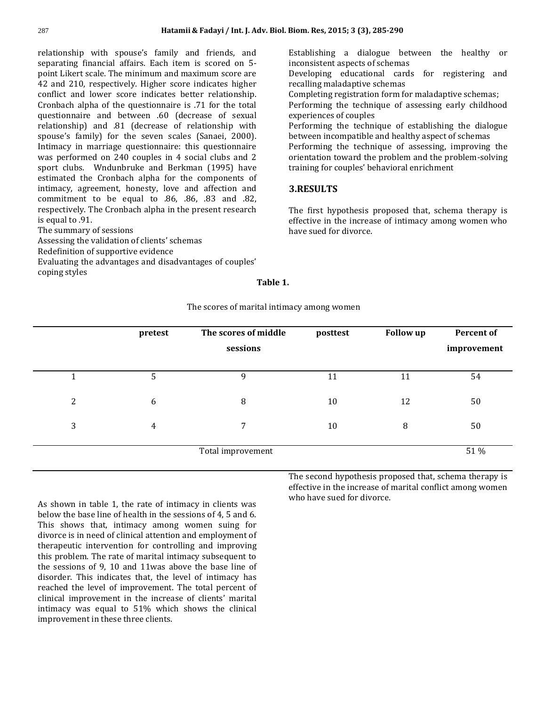relationship with spouse's family and friends, and separating financial affairs. Each item is scored on 5 point Likert scale. The minimum and maximum score are 42 and 210, respectively. Higher score indicates higher conflict and lower score indicates better relationship. Cronbach alpha of the questionnaire is .71 for the total questionnaire and between .60 (decrease of sexual relationship) and .81 (decrease of relationship with spouse's family) for the seven scales (Sanaei, 2000). Intimacy in marriage questionnaire: this questionnaire was performed on 240 couples in 4 social clubs and 2 sport clubs. Wndunbruke and Berkman (1995) have estimated the Cronbach alpha for the components of intimacy, agreement, honesty, love and affection and commitment to be equal to .86, .86, .83 and .82, respectively. The Cronbach alpha in the present research is equal to .91.

The summary of sessions

Assessing the validation of clients' schemas Redefinition of supportive evidence Evaluating the advantages and disadvantages of couples' coping styles

Establishing a dialogue between the healthy or inconsistent aspects of schemas Developing educational cards for registering and

recalling maladaptive schemas Completing registration form for maladaptive schemas;

Performing the technique of assessing early childhood experiences of couples

Performing the technique of establishing the dialogue between incompatible and healthy aspect of schemas

Performing the technique of assessing, improving the orientation toward the problem and the problem-solving training for couples' behavioral enrichment

## **3.RESULTS**

The first hypothesis proposed that, schema therapy is effective in the increase of intimacy among women who have sued for divorce.

#### **Table 1.**

The scores of marital intimacy among women

|                | pretest        | The scores of middle<br>sessions | posttest | <b>Follow</b> up | <b>Percent of</b><br>improvement |
|----------------|----------------|----------------------------------|----------|------------------|----------------------------------|
|                | 5              | 9                                | 11       | 11               | 54                               |
| $\overline{c}$ | 6              | 8                                | 10       | 12               | 50                               |
| 3              | $\overline{4}$ | 7                                | 10       | 8                | 50                               |
|                |                | Total improvement                |          |                  | 51 %                             |

As shown in table 1, the rate of intimacy in clients was below the base line of health in the sessions of 4, 5 and 6. This shows that, intimacy among women suing for divorce is in need of clinical attention and employment of therapeutic intervention for controlling and improving this problem. The rate of marital intimacy subsequent to the sessions of 9, 10 and 11was above the base line of disorder. This indicates that, the level of intimacy has reached the level of improvement. The total percent of clinical improvement in the increase of clients' marital intimacy was equal to 51% which shows the clinical improvement in these three clients.

The second hypothesis proposed that, schema therapy is effective in the increase of marital conflict among women who have sued for divorce.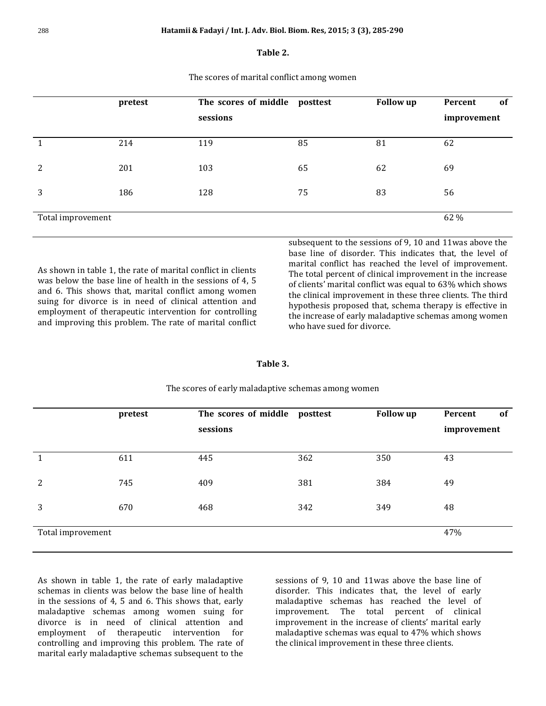#### **Table 2.**

The scores of marital conflict among women

|                   | pretest | The scores of middle posttest<br>sessions |    | <b>Follow up</b> | Percent<br><sub>of</sub><br>improvement |
|-------------------|---------|-------------------------------------------|----|------------------|-----------------------------------------|
|                   | 214     | 119                                       | 85 | 81               | 62                                      |
| 2                 | 201     | 103                                       | 65 | 62               | 69                                      |
| 3                 | 186     | 128                                       | 75 | 83               | 56                                      |
| Total improvement |         |                                           |    |                  | 62 %                                    |

As shown in table 1, the rate of marital conflict in clients was below the base line of health in the sessions of 4, 5 and 6. This shows that, marital conflict among women suing for divorce is in need of clinical attention and employment of therapeutic intervention for controlling and improving this problem. The rate of marital conflict subsequent to the sessions of 9, 10 and 11was above the base line of disorder. This indicates that, the level of marital conflict has reached the level of improvement. The total percent of clinical improvement in the increase of clients' marital conflict was equal to 63% which shows the clinical improvement in these three clients. The third hypothesis proposed that, schema therapy is effective in the increase of early maladaptive schemas among women who have sued for divorce.

### **Table 3.**

|                   | pretest | The scores of middle<br>sessions | posttest | <b>Follow up</b> | Percent<br><sub>of</sub><br>improvement |
|-------------------|---------|----------------------------------|----------|------------------|-----------------------------------------|
| -1                | 611     | 445                              | 362      | 350              | 43                                      |
| 2                 | 745     | 409                              | 381      | 384              | 49                                      |
| 3                 | 670     | 468                              | 342      | 349              | 48                                      |
| Total improvement |         |                                  |          |                  | 47%                                     |

The scores of early maladaptive schemas among women

As shown in table 1, the rate of early maladaptive schemas in clients was below the base line of health in the sessions of 4, 5 and 6. This shows that, early maladaptive schemas among women suing for divorce is in need of clinical attention and employment of therapeutic intervention for controlling and improving this problem. The rate of marital early maladaptive schemas subsequent to the

sessions of 9, 10 and 11was above the base line of disorder. This indicates that, the level of early maladaptive schemas has reached the level of improvement. The total percent of clinical improvement in the increase of clients' marital early maladaptive schemas was equal to 47% which shows the clinical improvement in these three clients.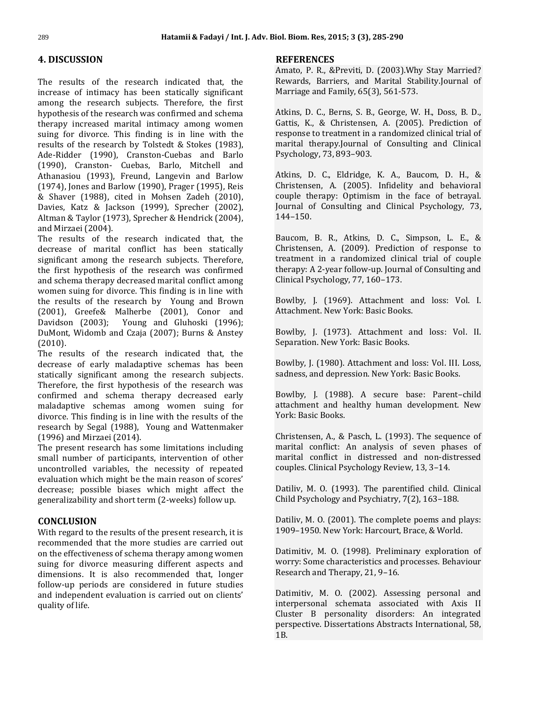# **4. DISCUSSION**

The results of the research indicated that, the increase of intimacy has been statically significant among the research subjects. Therefore, the first hypothesis of the research was confirmed and schema therapy increased marital intimacy among women suing for divorce. This finding is in line with the results of the research by Tolstedt & Stokes (1983), Ade-Ridder (1990), Cranston-Cuebas and Barlo (1990), Cranston- Cuebas, Barlo, Mitchell and Athanasiou (1993), Freund, Langevin and Barlow (1974), Jones and Barlow (1990), Prager (1995), Reis & Shaver (1988), cited in Mohsen Zadeh (2010), Davies, Katz & Jackson (1999), Sprecher (2002), Altman & Taylor (1973), Sprecher & Hendrick (2004), and Mirzaei (2004).

The results of the research indicated that, the decrease of marital conflict has been statically significant among the research subjects. Therefore, the first hypothesis of the research was confirmed and schema therapy decreased marital conflict among women suing for divorce. This finding is in line with the results of the research by Young and Brown (2001), Greefe& Malherbe (2001), Conor and Davidson (2003); Young and Gluhoski (1996); DuMont, Widomb and Czaja (2007); Burns & Anstey (2010).

The results of the research indicated that, the decrease of early maladaptive schemas has been statically significant among the research subjects. Therefore, the first hypothesis of the research was confirmed and schema therapy decreased early maladaptive schemas among women suing for divorce. This finding is in line with the results of the research by Segal (1988), Young and Wattenmaker (1996) and Mirzaei (2014).

The present research has some limitations including small number of participants, intervention of other uncontrolled variables, the necessity of repeated evaluation which might be the main reason of scores' decrease; possible biases which might affect the generalizability and short term (2-weeks) follow up.

## **CONCLUSION**

With regard to the results of the present research, it is recommended that the more studies are carried out on the effectiveness of schema therapy among women suing for divorce measuring different aspects and dimensions. It is also recommended that, longer follow-up periods are considered in future studies and independent evaluation is carried out on clients' quality of life.

## **REFERENCES**

Amato, P. R., &Previti, D. (2003).Why Stay Married? Rewards, Barriers, and Marital Stability.Journal of Marriage and Family, 65(3), 561-573.

Atkins, D. C., Berns, S. B., George, W. H., Doss, B. D., Gattis, K., & Christensen, A. (2005). Prediction of response to treatment in a randomized clinical trial of marital therapy.Journal of Consulting and Clinical Psychology, 73, 893–903.

Atkins, D. C., Eldridge, K. A., Baucom, D. H., & Christensen, A. (2005). Infidelity and behavioral couple therapy: Optimism in the face of betrayal. Journal of Consulting and Clinical Psychology, 73, 144–150.

Baucom, B. R., Atkins, D. C., Simpson, L. E., & Christensen, A. (2009). Prediction of response to treatment in a randomized clinical trial of couple therapy: A 2-year follow-up. Journal of Consulting and Clinical Psychology, 77, 160–173.

Bowlby, J. (1969). Attachment and loss: Vol. I. Attachment. New York: Basic Books.

Bowlby, J. (1973). Attachment and loss: Vol. II. Separation. New York: Basic Books.

Bowlby, J. (1980). Attachment and loss: Vol. III. Loss, sadness, and depression. New York: Basic Books.

Bowlby, J. (1988). A secure base: Parent–child attachment and healthy human development. New York: Basic Books.

Christensen, A., & Pasch, L. (1993). The sequence of marital conflict: An analysis of seven phases of marital conflict in distressed and non-distressed couples. Clinical Psychology Review, 13, 3–14.

Datiliv, M. O. (1993). The parentified child. Clinical Child Psychology and Psychiatry, 7(2), 163–188.

Datiliv, M. O. (2001). The complete poems and plays: 1909–1950. New York: Harcourt, Brace, & World.

Datimitiv, M. O. (1998). Preliminary exploration of worry: Some characteristics and processes. Behaviour Research and Therapy, 21, 9–16.

Datimitiv, M. O. (2002). Assessing personal and interpersonal schemata associated with Axis II Cluster B personality disorders: An integrated perspective. Dissertations Abstracts International, 58, 1B.